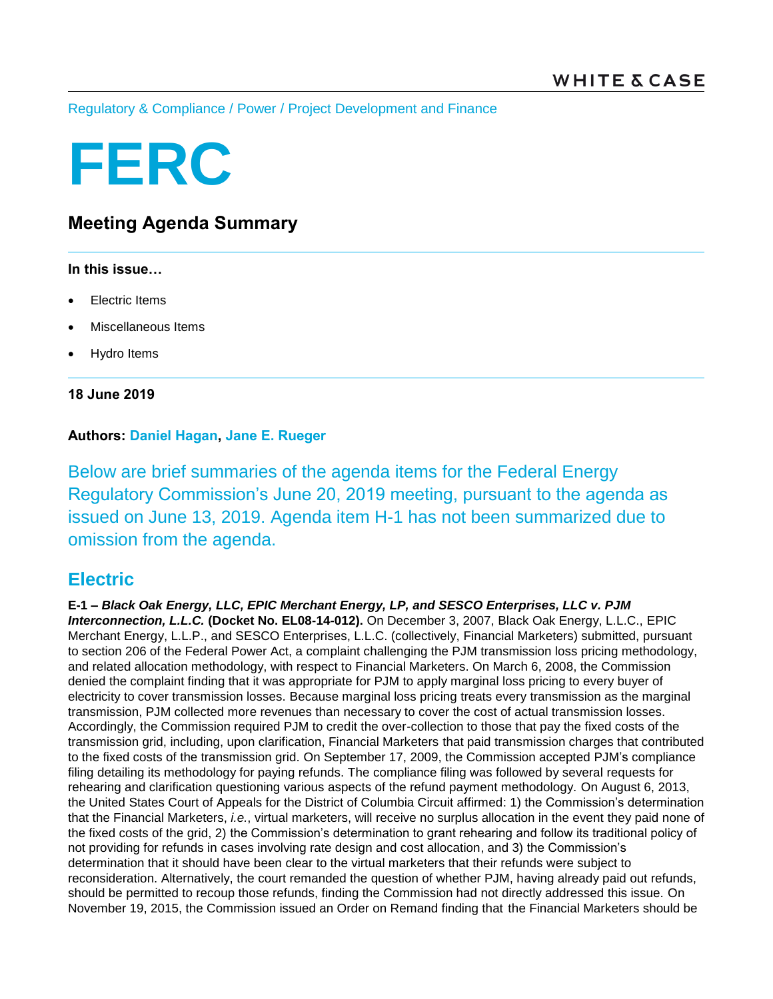[Regulatory & Compliance](https://www.whitecase.com/law/practices/regulatory-compliance) / [Power](https://www.whitecase.com/law/industries/power) / [Project Development and Finance](https://www.whitecase.com/law/practices/project-development-and-finance)

# **FERC**

# **Meeting Agenda Summary**

#### **In this issue…**

- Electric Items
- Miscellaneous Items
- Hydro Items

**18 June 2019**

### **Authors: [Daniel Hagan,](https://www.whitecase.com/people/daniel-hagan) [Jane E. Rueger](https://www.whitecase.com/people/jane-rueger)**

Below are brief summaries of the agenda items for the Federal Energy Regulatory Commission's June 20, 2019 meeting, pursuant to the agenda as issued on June 13, 2019. Agenda item H-1 has not been summarized due to omission from the agenda.

## **Electric**

**E-1 –** *Black Oak Energy, LLC, EPIC Merchant Energy, LP, and SESCO Enterprises, LLC v. PJM Interconnection, L.L.C.* **(Docket No. EL08-14-012).** On December 3, 2007, Black Oak Energy, L.L.C., EPIC Merchant Energy, L.L.P., and SESCO Enterprises, L.L.C. (collectively, Financial Marketers) submitted, pursuant to section 206 of the Federal Power Act, a complaint challenging the PJM transmission loss pricing methodology, and related allocation methodology, with respect to Financial Marketers. On March 6, 2008, the Commission denied the complaint finding that it was appropriate for PJM to apply marginal loss pricing to every buyer of electricity to cover transmission losses. Because marginal loss pricing treats every transmission as the marginal transmission, PJM collected more revenues than necessary to cover the cost of actual transmission losses. Accordingly, the Commission required PJM to credit the over-collection to those that pay the fixed costs of the transmission grid, including, upon clarification, Financial Marketers that paid transmission charges that contributed to the fixed costs of the transmission grid. On September 17, 2009, the Commission accepted PJM's compliance filing detailing its methodology for paying refunds. The compliance filing was followed by several requests for rehearing and clarification questioning various aspects of the refund payment methodology. On August 6, 2013, the United States Court of Appeals for the District of Columbia Circuit affirmed: 1) the Commission's determination that the Financial Marketers, *i.e.*, virtual marketers, will receive no surplus allocation in the event they paid none of the fixed costs of the grid, 2) the Commission's determination to grant rehearing and follow its traditional policy of not providing for refunds in cases involving rate design and cost allocation, and 3) the Commission's determination that it should have been clear to the virtual marketers that their refunds were subject to reconsideration. Alternatively, the court remanded the question of whether PJM, having already paid out refunds, should be permitted to recoup those refunds, finding the Commission had not directly addressed this issue. On November 19, 2015, the Commission issued an Order on Remand finding that the Financial Marketers should be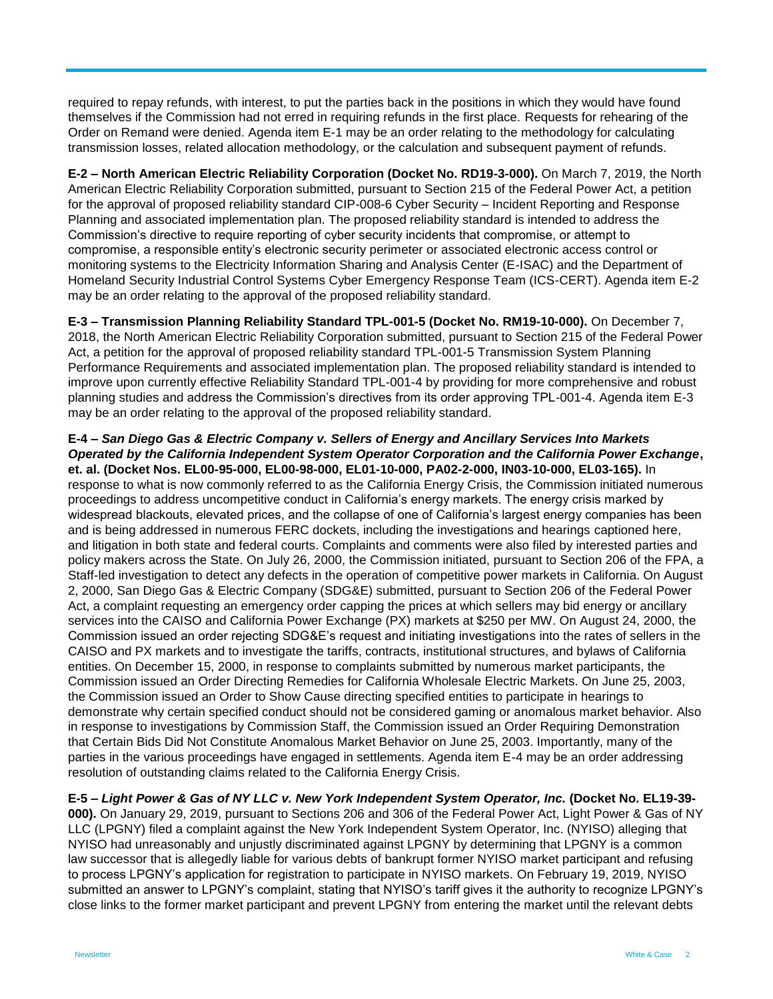required to repay refunds, with interest, to put the parties back in the positions in which they would have found themselves if the Commission had not erred in requiring refunds in the first place. Requests for rehearing of the Order on Remand were denied. Agenda item E-1 may be an order relating to the methodology for calculating transmission losses, related allocation methodology, or the calculation and subsequent payment of refunds.

**E-2 – North American Electric Reliability Corporation (Docket No. RD19-3-000).** On March 7, 2019, the North American Electric Reliability Corporation submitted, pursuant to Section 215 of the Federal Power Act, a petition for the approval of proposed reliability standard CIP-008-6 Cyber Security – Incident Reporting and Response Planning and associated implementation plan. The proposed reliability standard is intended to address the Commission's directive to require reporting of cyber security incidents that compromise, or attempt to compromise, a responsible entity's electronic security perimeter or associated electronic access control or monitoring systems to the Electricity Information Sharing and Analysis Center (E-ISAC) and the Department of Homeland Security Industrial Control Systems Cyber Emergency Response Team (ICS-CERT). Agenda item E-2 may be an order relating to the approval of the proposed reliability standard.

**E-3 – Transmission Planning Reliability Standard TPL-001-5 (Docket No. RM19-10-000).** On December 7, 2018, the North American Electric Reliability Corporation submitted, pursuant to Section 215 of the Federal Power Act, a petition for the approval of proposed reliability standard TPL-001-5 Transmission System Planning Performance Requirements and associated implementation plan. The proposed reliability standard is intended to improve upon currently effective Reliability Standard TPL-001-4 by providing for more comprehensive and robust planning studies and address the Commission's directives from its order approving TPL-001-4. Agenda item E-3 may be an order relating to the approval of the proposed reliability standard.

**E-4 –** *San Diego Gas & Electric Company v. Sellers of Energy and Ancillary Services Into Markets Operated by the California Independent System Operator Corporation and the California Power Exchange***, et. al. (Docket Nos. EL00-95-000, EL00-98-000, EL01-10-000, PA02-2-000, IN03-10-000, EL03-165).** In response to what is now commonly referred to as the California Energy Crisis, the Commission initiated numerous proceedings to address uncompetitive conduct in California's energy markets. The energy crisis marked by widespread blackouts, elevated prices, and the collapse of one of California's largest energy companies has been and is being addressed in numerous FERC dockets, including the investigations and hearings captioned here, and litigation in both state and federal courts. Complaints and comments were also filed by interested parties and policy makers across the State. On July 26, 2000, the Commission initiated, pursuant to Section 206 of the FPA, a Staff-led investigation to detect any defects in the operation of competitive power markets in California. On August 2, 2000, San Diego Gas & Electric Company (SDG&E) submitted, pursuant to Section 206 of the Federal Power Act, a complaint requesting an emergency order capping the prices at which sellers may bid energy or ancillary services into the CAISO and California Power Exchange (PX) markets at \$250 per MW. On August 24, 2000, the Commission issued an order rejecting SDG&E's request and initiating investigations into the rates of sellers in the CAISO and PX markets and to investigate the tariffs, contracts, institutional structures, and bylaws of California entities. On December 15, 2000, in response to complaints submitted by numerous market participants, the Commission issued an Order Directing Remedies for California Wholesale Electric Markets. On June 25, 2003, the Commission issued an Order to Show Cause directing specified entities to participate in hearings to demonstrate why certain specified conduct should not be considered gaming or anomalous market behavior. Also in response to investigations by Commission Staff, the Commission issued an Order Requiring Demonstration that Certain Bids Did Not Constitute Anomalous Market Behavior on June 25, 2003. Importantly, many of the parties in the various proceedings have engaged in settlements. Agenda item E-4 may be an order addressing resolution of outstanding claims related to the California Energy Crisis.

**E-5 –** *Light Power & Gas of NY LLC v. New York Independent System Operator, Inc.* **(Docket No. EL19-39- 000).** On January 29, 2019, pursuant to Sections 206 and 306 of the Federal Power Act, Light Power & Gas of NY LLC (LPGNY) filed a complaint against the New York Independent System Operator, Inc. (NYISO) alleging that NYISO had unreasonably and unjustly discriminated against LPGNY by determining that LPGNY is a common law successor that is allegedly liable for various debts of bankrupt former NYISO market participant and refusing to process LPGNY's application for registration to participate in NYISO markets. On February 19, 2019, NYISO submitted an answer to LPGNY's complaint, stating that NYISO's tariff gives it the authority to recognize LPGNY's close links to the former market participant and prevent LPGNY from entering the market until the relevant debts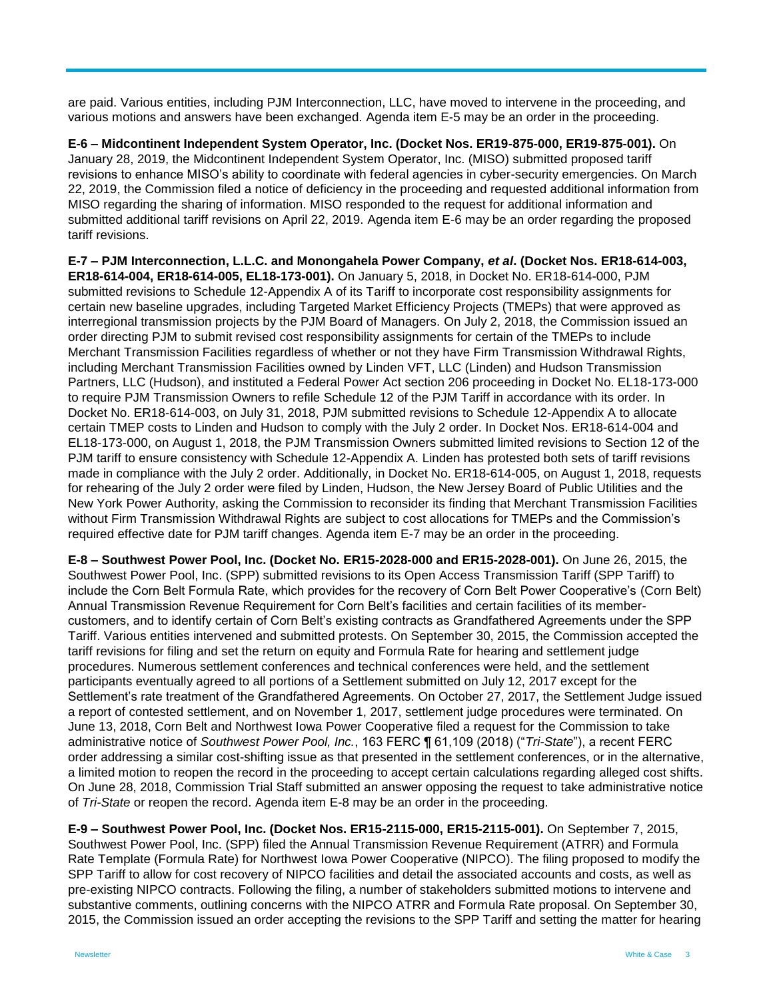are paid. Various entities, including PJM Interconnection, LLC, have moved to intervene in the proceeding, and various motions and answers have been exchanged. Agenda item E-5 may be an order in the proceeding.

**E-6 – Midcontinent Independent System Operator, Inc. (Docket Nos. ER19-875-000, ER19-875-001).** On January 28, 2019, the Midcontinent Independent System Operator, Inc. (MISO) submitted proposed tariff revisions to enhance MISO's ability to coordinate with federal agencies in cyber-security emergencies. On March 22, 2019, the Commission filed a notice of deficiency in the proceeding and requested additional information from MISO regarding the sharing of information. MISO responded to the request for additional information and submitted additional tariff revisions on April 22, 2019. Agenda item E-6 may be an order regarding the proposed tariff revisions.

**E-7 – PJM Interconnection, L.L.C. and Monongahela Power Company,** *et al***. (Docket Nos. ER18-614-003, ER18-614-004, ER18-614-005, EL18-173-001).** On January 5, 2018, in Docket No. ER18-614-000, PJM submitted revisions to Schedule 12-Appendix A of its Tariff to incorporate cost responsibility assignments for certain new baseline upgrades, including Targeted Market Efficiency Projects (TMEPs) that were approved as interregional transmission projects by the PJM Board of Managers. On July 2, 2018, the Commission issued an order directing PJM to submit revised cost responsibility assignments for certain of the TMEPs to include Merchant Transmission Facilities regardless of whether or not they have Firm Transmission Withdrawal Rights, including Merchant Transmission Facilities owned by Linden VFT, LLC (Linden) and Hudson Transmission Partners, LLC (Hudson), and instituted a Federal Power Act section 206 proceeding in Docket No. EL18-173-000 to require PJM Transmission Owners to refile Schedule 12 of the PJM Tariff in accordance with its order. In Docket No. ER18-614-003, on July 31, 2018, PJM submitted revisions to Schedule 12-Appendix A to allocate certain TMEP costs to Linden and Hudson to comply with the July 2 order. In Docket Nos. ER18-614-004 and EL18-173-000, on August 1, 2018, the PJM Transmission Owners submitted limited revisions to Section 12 of the PJM tariff to ensure consistency with Schedule 12-Appendix A. Linden has protested both sets of tariff revisions made in compliance with the July 2 order. Additionally, in Docket No. ER18-614-005, on August 1, 2018, requests for rehearing of the July 2 order were filed by Linden, Hudson, the New Jersey Board of Public Utilities and the New York Power Authority, asking the Commission to reconsider its finding that Merchant Transmission Facilities without Firm Transmission Withdrawal Rights are subject to cost allocations for TMEPs and the Commission's required effective date for PJM tariff changes. Agenda item E-7 may be an order in the proceeding.

**E-8 – Southwest Power Pool, Inc. (Docket No. ER15-2028-000 and ER15-2028-001).** On June 26, 2015, the Southwest Power Pool, Inc. (SPP) submitted revisions to its Open Access Transmission Tariff (SPP Tariff) to include the Corn Belt Formula Rate, which provides for the recovery of Corn Belt Power Cooperative's (Corn Belt) Annual Transmission Revenue Requirement for Corn Belt's facilities and certain facilities of its membercustomers, and to identify certain of Corn Belt's existing contracts as Grandfathered Agreements under the SPP Tariff. Various entities intervened and submitted protests. On September 30, 2015, the Commission accepted the tariff revisions for filing and set the return on equity and Formula Rate for hearing and settlement judge procedures. Numerous settlement conferences and technical conferences were held, and the settlement participants eventually agreed to all portions of a Settlement submitted on July 12, 2017 except for the Settlement's rate treatment of the Grandfathered Agreements. On October 27, 2017, the Settlement Judge issued a report of contested settlement, and on November 1, 2017, settlement judge procedures were terminated. On June 13, 2018, Corn Belt and Northwest Iowa Power Cooperative filed a request for the Commission to take administrative notice of *Southwest Power Pool, Inc.*, 163 FERC ¶ 61,109 (2018) ("*Tri-State*"), a recent FERC order addressing a similar cost-shifting issue as that presented in the settlement conferences, or in the alternative, a limited motion to reopen the record in the proceeding to accept certain calculations regarding alleged cost shifts. On June 28, 2018, Commission Trial Staff submitted an answer opposing the request to take administrative notice of *Tri-State* or reopen the record. Agenda item E-8 may be an order in the proceeding.

**E-9 – Southwest Power Pool, Inc. (Docket Nos. ER15-2115-000, ER15-2115-001).** On September 7, 2015, Southwest Power Pool, Inc. (SPP) filed the Annual Transmission Revenue Requirement (ATRR) and Formula Rate Template (Formula Rate) for Northwest Iowa Power Cooperative (NIPCO). The filing proposed to modify the SPP Tariff to allow for cost recovery of NIPCO facilities and detail the associated accounts and costs, as well as pre-existing NIPCO contracts. Following the filing, a number of stakeholders submitted motions to intervene and substantive comments, outlining concerns with the NIPCO ATRR and Formula Rate proposal. On September 30, 2015, the Commission issued an order accepting the revisions to the SPP Tariff and setting the matter for hearing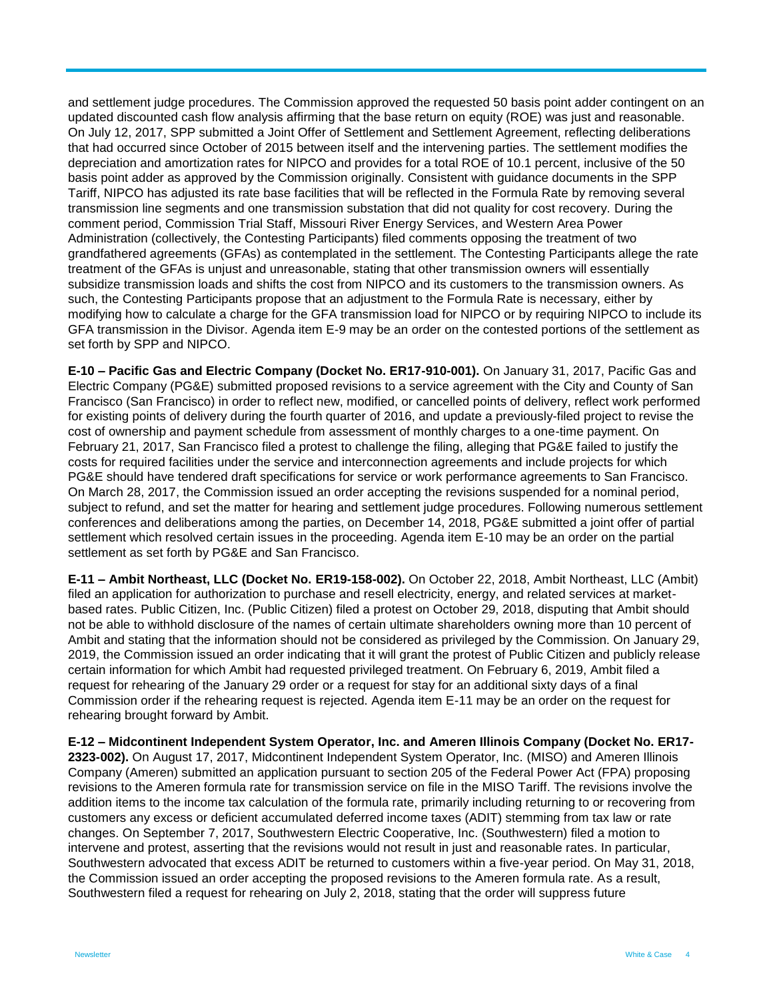and settlement judge procedures. The Commission approved the requested 50 basis point adder contingent on an updated discounted cash flow analysis affirming that the base return on equity (ROE) was just and reasonable. On July 12, 2017, SPP submitted a Joint Offer of Settlement and Settlement Agreement, reflecting deliberations that had occurred since October of 2015 between itself and the intervening parties. The settlement modifies the depreciation and amortization rates for NIPCO and provides for a total ROE of 10.1 percent, inclusive of the 50 basis point adder as approved by the Commission originally. Consistent with guidance documents in the SPP Tariff, NIPCO has adjusted its rate base facilities that will be reflected in the Formula Rate by removing several transmission line segments and one transmission substation that did not quality for cost recovery. During the comment period, Commission Trial Staff, Missouri River Energy Services, and Western Area Power Administration (collectively, the Contesting Participants) filed comments opposing the treatment of two grandfathered agreements (GFAs) as contemplated in the settlement. The Contesting Participants allege the rate treatment of the GFAs is unjust and unreasonable, stating that other transmission owners will essentially subsidize transmission loads and shifts the cost from NIPCO and its customers to the transmission owners. As such, the Contesting Participants propose that an adjustment to the Formula Rate is necessary, either by modifying how to calculate a charge for the GFA transmission load for NIPCO or by requiring NIPCO to include its GFA transmission in the Divisor. Agenda item E-9 may be an order on the contested portions of the settlement as set forth by SPP and NIPCO.

**E-10 – Pacific Gas and Electric Company (Docket No. ER17-910-001).** On January 31, 2017, Pacific Gas and Electric Company (PG&E) submitted proposed revisions to a service agreement with the City and County of San Francisco (San Francisco) in order to reflect new, modified, or cancelled points of delivery, reflect work performed for existing points of delivery during the fourth quarter of 2016, and update a previously-filed project to revise the cost of ownership and payment schedule from assessment of monthly charges to a one-time payment. On February 21, 2017, San Francisco filed a protest to challenge the filing, alleging that PG&E failed to justify the costs for required facilities under the service and interconnection agreements and include projects for which PG&E should have tendered draft specifications for service or work performance agreements to San Francisco. On March 28, 2017, the Commission issued an order accepting the revisions suspended for a nominal period, subject to refund, and set the matter for hearing and settlement judge procedures. Following numerous settlement conferences and deliberations among the parties, on December 14, 2018, PG&E submitted a joint offer of partial settlement which resolved certain issues in the proceeding. Agenda item E-10 may be an order on the partial settlement as set forth by PG&E and San Francisco.

**E-11 – Ambit Northeast, LLC (Docket No. ER19-158-002).** On October 22, 2018, Ambit Northeast, LLC (Ambit) filed an application for authorization to purchase and resell electricity, energy, and related services at marketbased rates. Public Citizen, Inc. (Public Citizen) filed a protest on October 29, 2018, disputing that Ambit should not be able to withhold disclosure of the names of certain ultimate shareholders owning more than 10 percent of Ambit and stating that the information should not be considered as privileged by the Commission. On January 29, 2019, the Commission issued an order indicating that it will grant the protest of Public Citizen and publicly release certain information for which Ambit had requested privileged treatment. On February 6, 2019, Ambit filed a request for rehearing of the January 29 order or a request for stay for an additional sixty days of a final Commission order if the rehearing request is rejected. Agenda item E-11 may be an order on the request for rehearing brought forward by Ambit.

**E-12 – Midcontinent Independent System Operator, Inc. and Ameren Illinois Company (Docket No. ER17- 2323-002).** On August 17, 2017, Midcontinent Independent System Operator, Inc. (MISO) and Ameren Illinois Company (Ameren) submitted an application pursuant to section 205 of the Federal Power Act (FPA) proposing revisions to the Ameren formula rate for transmission service on file in the MISO Tariff. The revisions involve the addition items to the income tax calculation of the formula rate, primarily including returning to or recovering from customers any excess or deficient accumulated deferred income taxes (ADIT) stemming from tax law or rate changes. On September 7, 2017, Southwestern Electric Cooperative, Inc. (Southwestern) filed a motion to intervene and protest, asserting that the revisions would not result in just and reasonable rates. In particular, Southwestern advocated that excess ADIT be returned to customers within a five-year period. On May 31, 2018, the Commission issued an order accepting the proposed revisions to the Ameren formula rate. As a result, Southwestern filed a request for rehearing on July 2, 2018, stating that the order will suppress future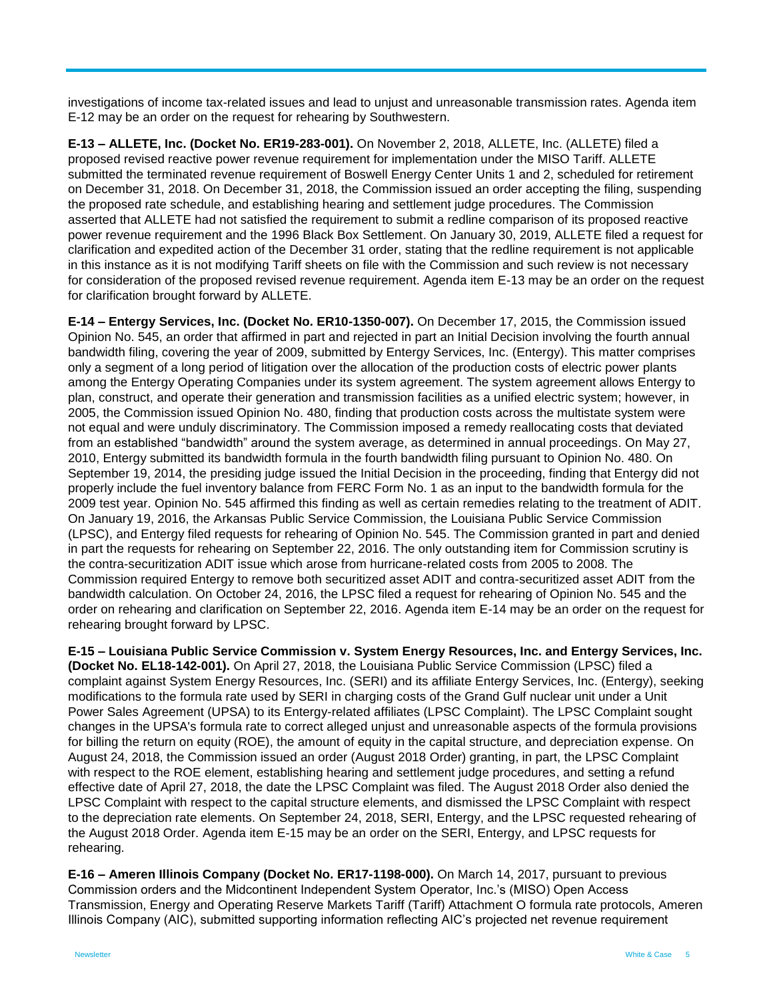investigations of income tax-related issues and lead to unjust and unreasonable transmission rates. Agenda item E-12 may be an order on the request for rehearing by Southwestern.

**E-13 – ALLETE, Inc. (Docket No. ER19-283-001).** On November 2, 2018, ALLETE, Inc. (ALLETE) filed a proposed revised reactive power revenue requirement for implementation under the MISO Tariff. ALLETE submitted the terminated revenue requirement of Boswell Energy Center Units 1 and 2, scheduled for retirement on December 31, 2018. On December 31, 2018, the Commission issued an order accepting the filing, suspending the proposed rate schedule, and establishing hearing and settlement judge procedures. The Commission asserted that ALLETE had not satisfied the requirement to submit a redline comparison of its proposed reactive power revenue requirement and the 1996 Black Box Settlement. On January 30, 2019, ALLETE filed a request for clarification and expedited action of the December 31 order, stating that the redline requirement is not applicable in this instance as it is not modifying Tariff sheets on file with the Commission and such review is not necessary for consideration of the proposed revised revenue requirement. Agenda item E-13 may be an order on the request for clarification brought forward by ALLETE.

**E-14 – Entergy Services, Inc. (Docket No. ER10-1350-007).** On December 17, 2015, the Commission issued Opinion No. 545, an order that affirmed in part and rejected in part an Initial Decision involving the fourth annual bandwidth filing, covering the year of 2009, submitted by Entergy Services, Inc. (Entergy). This matter comprises only a segment of a long period of litigation over the allocation of the production costs of electric power plants among the Entergy Operating Companies under its system agreement. The system agreement allows Entergy to plan, construct, and operate their generation and transmission facilities as a unified electric system; however, in 2005, the Commission issued Opinion No. 480, finding that production costs across the multistate system were not equal and were unduly discriminatory. The Commission imposed a remedy reallocating costs that deviated from an established "bandwidth" around the system average, as determined in annual proceedings. On May 27, 2010, Entergy submitted its bandwidth formula in the fourth bandwidth filing pursuant to Opinion No. 480. On September 19, 2014, the presiding judge issued the Initial Decision in the proceeding, finding that Entergy did not properly include the fuel inventory balance from FERC Form No. 1 as an input to the bandwidth formula for the 2009 test year. Opinion No. 545 affirmed this finding as well as certain remedies relating to the treatment of ADIT. On January 19, 2016, the Arkansas Public Service Commission, the Louisiana Public Service Commission (LPSC), and Entergy filed requests for rehearing of Opinion No. 545. The Commission granted in part and denied in part the requests for rehearing on September 22, 2016. The only outstanding item for Commission scrutiny is the contra-securitization ADIT issue which arose from hurricane-related costs from 2005 to 2008. The Commission required Entergy to remove both securitized asset ADIT and contra-securitized asset ADIT from the bandwidth calculation. On October 24, 2016, the LPSC filed a request for rehearing of Opinion No. 545 and the order on rehearing and clarification on September 22, 2016. Agenda item E-14 may be an order on the request for rehearing brought forward by LPSC.

**E-15 – Louisiana Public Service Commission v. System Energy Resources, Inc. and Entergy Services, Inc. (Docket No. EL18-142-001).** On April 27, 2018, the Louisiana Public Service Commission (LPSC) filed a complaint against System Energy Resources, Inc. (SERI) and its affiliate Entergy Services, Inc. (Entergy), seeking modifications to the formula rate used by SERI in charging costs of the Grand Gulf nuclear unit under a Unit Power Sales Agreement (UPSA) to its Entergy-related affiliates (LPSC Complaint). The LPSC Complaint sought changes in the UPSA's formula rate to correct alleged unjust and unreasonable aspects of the formula provisions for billing the return on equity (ROE), the amount of equity in the capital structure, and depreciation expense. On August 24, 2018, the Commission issued an order (August 2018 Order) granting, in part, the LPSC Complaint with respect to the ROE element, establishing hearing and settlement judge procedures, and setting a refund effective date of April 27, 2018, the date the LPSC Complaint was filed. The August 2018 Order also denied the LPSC Complaint with respect to the capital structure elements, and dismissed the LPSC Complaint with respect to the depreciation rate elements. On September 24, 2018, SERI, Entergy, and the LPSC requested rehearing of the August 2018 Order. Agenda item E-15 may be an order on the SERI, Entergy, and LPSC requests for rehearing.

**E-16 – Ameren Illinois Company (Docket No. ER17-1198-000).** On March 14, 2017, pursuant to previous Commission orders and the Midcontinent Independent System Operator, Inc.'s (MISO) Open Access Transmission, Energy and Operating Reserve Markets Tariff (Tariff) Attachment O formula rate protocols, Ameren Illinois Company (AIC), submitted supporting information reflecting AIC's projected net revenue requirement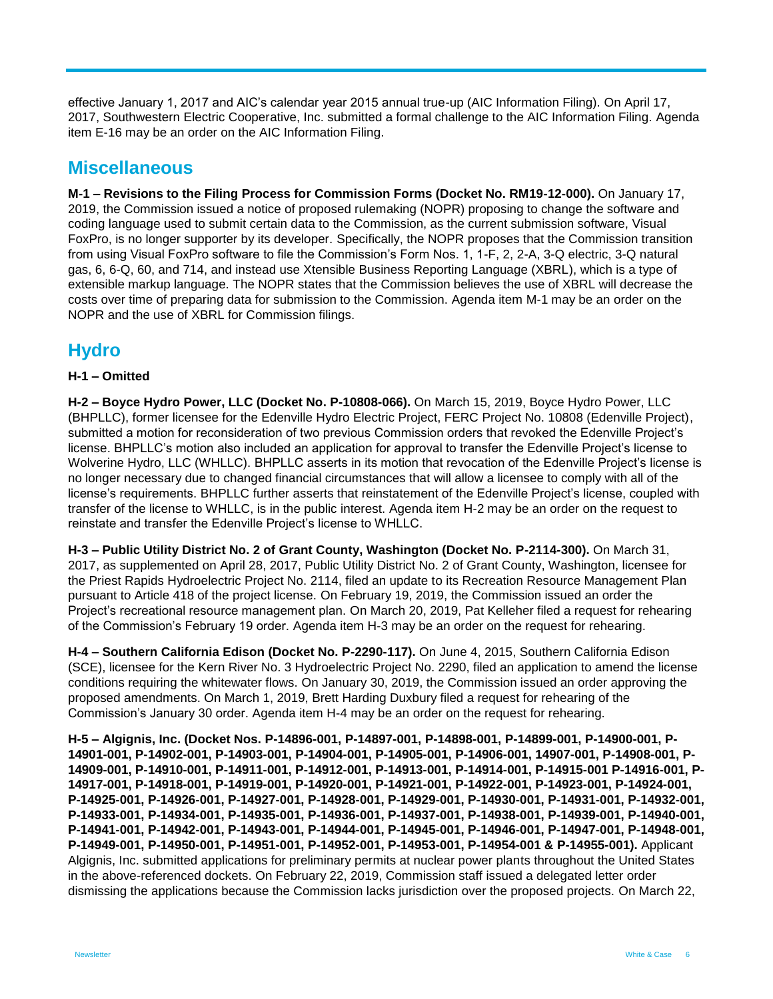effective January 1, 2017 and AIC's calendar year 2015 annual true-up (AIC Information Filing). On April 17, 2017, Southwestern Electric Cooperative, Inc. submitted a formal challenge to the AIC Information Filing. Agenda item E-16 may be an order on the AIC Information Filing.

## **Miscellaneous**

**M-1 – Revisions to the Filing Process for Commission Forms (Docket No. RM19-12-000).** On January 17, 2019, the Commission issued a notice of proposed rulemaking (NOPR) proposing to change the software and coding language used to submit certain data to the Commission, as the current submission software, Visual FoxPro, is no longer supporter by its developer. Specifically, the NOPR proposes that the Commission transition from using Visual FoxPro software to file the Commission's Form Nos. 1, 1-F, 2, 2-A, 3-Q electric, 3-Q natural gas, 6, 6-Q, 60, and 714, and instead use Xtensible Business Reporting Language (XBRL), which is a type of extensible markup language. The NOPR states that the Commission believes the use of XBRL will decrease the costs over time of preparing data for submission to the Commission. Agenda item M-1 may be an order on the NOPR and the use of XBRL for Commission filings.

## **Hydro**

#### **H-1 – Omitted**

**H-2 – Boyce Hydro Power, LLC (Docket No. P-10808-066).** On March 15, 2019, Boyce Hydro Power, LLC (BHPLLC), former licensee for the Edenville Hydro Electric Project, FERC Project No. 10808 (Edenville Project), submitted a motion for reconsideration of two previous Commission orders that revoked the Edenville Project's license. BHPLLC's motion also included an application for approval to transfer the Edenville Project's license to Wolverine Hydro, LLC (WHLLC). BHPLLC asserts in its motion that revocation of the Edenville Project's license is no longer necessary due to changed financial circumstances that will allow a licensee to comply with all of the license's requirements. BHPLLC further asserts that reinstatement of the Edenville Project's license, coupled with transfer of the license to WHLLC, is in the public interest. Agenda item H-2 may be an order on the request to reinstate and transfer the Edenville Project's license to WHLLC.

**H-3 – Public Utility District No. 2 of Grant County, Washington (Docket No. P-2114-300).** On March 31, 2017, as supplemented on April 28, 2017, Public Utility District No. 2 of Grant County, Washington, licensee for the Priest Rapids Hydroelectric Project No. 2114, filed an update to its Recreation Resource Management Plan pursuant to Article 418 of the project license. On February 19, 2019, the Commission issued an order the Project's recreational resource management plan. On March 20, 2019, Pat Kelleher filed a request for rehearing of the Commission's February 19 order. Agenda item H-3 may be an order on the request for rehearing.

**H-4 – Southern California Edison (Docket No. P-2290-117).** On June 4, 2015, Southern California Edison (SCE), licensee for the Kern River No. 3 Hydroelectric Project No. 2290, filed an application to amend the license conditions requiring the whitewater flows. On January 30, 2019, the Commission issued an order approving the proposed amendments. On March 1, 2019, Brett Harding Duxbury filed a request for rehearing of the Commission's January 30 order. Agenda item H-4 may be an order on the request for rehearing.

**H-5 – Algignis, Inc. (Docket Nos. P-14896-001, P-14897-001, P-14898-001, P-14899-001, P-14900-001, P-14901-001, P-14902-001, P-14903-001, P-14904-001, P-14905-001, P-14906-001, 14907-001, P-14908-001, P-14909-001, P-14910-001, P-14911-001, P-14912-001, P-14913-001, P-14914-001, P-14915-001 P-14916-001, P-14917-001, P-14918-001, P-14919-001, P-14920-001, P-14921-001, P-14922-001, P-14923-001, P-14924-001, P-14925-001, P-14926-001, P-14927-001, P-14928-001, P-14929-001, P-14930-001, P-14931-001, P-14932-001, P-14933-001, P-14934-001, P-14935-001, P-14936-001, P-14937-001, P-14938-001, P-14939-001, P-14940-001, P-14941-001, P-14942-001, P-14943-001, P-14944-001, P-14945-001, P-14946-001, P-14947-001, P-14948-001, P-14949-001, P-14950-001, P-14951-001, P-14952-001, P-14953-001, P-14954-001 & P-14955-001).** Applicant Algignis, Inc. submitted applications for preliminary permits at nuclear power plants throughout the United States in the above-referenced dockets. On February 22, 2019, Commission staff issued a delegated letter order dismissing the applications because the Commission lacks jurisdiction over the proposed projects. On March 22,